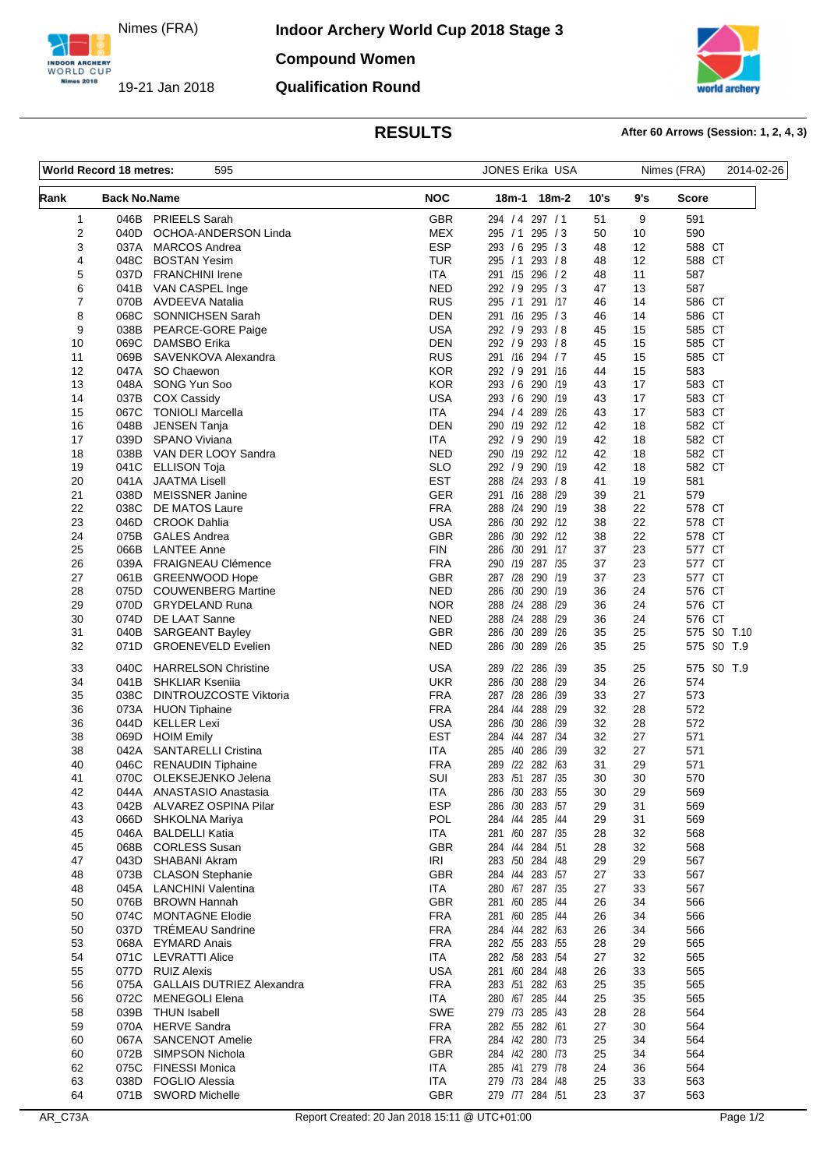Nimes (FRA)

INDOOR ARCHERY<br>WORLD CUP Nimes 2018

19-21 Jan 2018

**Indoor Archery World Cup 2018 Stage 3 Compound Women**

# **rid archery**

**Qualification Round**

# **RESULTS After 60 Arrows (Session: 1, 2, 4, 3)**

| World Record 18 metres:<br>595 |                     |                                                         | JONES Erika USA          |                                    |         | Nimes (FRA) |          | 2014-02-26       |                           |
|--------------------------------|---------------------|---------------------------------------------------------|--------------------------|------------------------------------|---------|-------------|----------|------------------|---------------------------|
| Rank                           | <b>Back No.Name</b> |                                                         | <b>NOC</b>               | 18m-1 18m-2                        |         | 10's        | 9's      | Score            |                           |
| 1                              | 046B                | <b>PRIEELS Sarah</b>                                    | <b>GBR</b>               | 294 / 4 297 / 1                    |         | 51          | 9        | 591              |                           |
| 2                              | 040D                | OCHOA-ANDERSON Linda                                    | <b>MEX</b>               | 295 / 1 295 / 3                    |         | 50          | 10       | 590              |                           |
| 3                              | 037A                | <b>MARCOS Andrea</b>                                    | <b>ESP</b>               | 293 / 6 295 / 3                    |         | 48          | 12       | 588 CT           |                           |
| 4                              | 048C                | <b>BOSTAN Yesim</b>                                     | <b>TUR</b>               | 295 / 1 293 / 8                    |         | 48          | 12       | 588 CT           |                           |
| 5                              | 037D                | <b>FRANCHINI Irene</b>                                  | <b>ITA</b>               | 291 /15 296 / 2                    |         | 48          | 11       | 587              |                           |
| 6<br>7                         | 070B                | 041B VAN CASPEL Inge<br><b>AVDEEVA Natalia</b>          | <b>NED</b><br><b>RUS</b> | 292 / 9 295 / 3<br>295 / 1 291 /17 |         | 47<br>46    | 13<br>14 | 587<br>586 CT    |                           |
| 8                              | 068C                | SONNICHSEN Sarah                                        | <b>DEN</b>               | 291 /16 295 / 3                    |         | 46          | 14       | 586 CT           |                           |
| 9                              | 038B                | PEARCE-GORE Paige                                       | <b>USA</b>               | 292 / 9 293 / 8                    |         | 45          | 15       | 585 CT           |                           |
| 10                             | 069C                | DAMSBO Erika                                            | <b>DEN</b>               | 292 / 9 293 / 8                    |         | 45          | 15       | 585 CT           |                           |
| 11                             | 069B                | SAVENKOVA Alexandra                                     | <b>RUS</b>               | 291 /16 294 / 7                    |         | 45          | 15       | 585 CT           |                           |
| 12                             | 047A                | SO Chaewon                                              | <b>KOR</b>               | 292 / 9 291 /16                    |         | 44          | 15       | 583              |                           |
| 13                             | 048A                | SONG Yun Soo                                            | <b>KOR</b>               | 293 / 6 290 / 19                   |         | 43          | 17       | 583 CT           |                           |
| 14                             | 037B                | <b>COX Cassidy</b>                                      | <b>USA</b>               | 293 / 6 290 /19                    |         | 43          | 17       | 583 CT           |                           |
| 15                             | 067C                | <b>TONIOLI Marcella</b>                                 | <b>ITA</b>               | 294 / 4 289 / 26                   |         | 43          | 17       | 583 CT           |                           |
| 16                             | 048B                | JENSEN Tanja                                            | DEN                      | 290 /19 292 /12                    |         | 42          | 18       | 582 CT           |                           |
| 17                             | 039D                | <b>SPANO Viviana</b>                                    | <b>ITA</b>               | 292 / 9 290 /19                    |         | 42          | 18       | 582 CT           |                           |
| 18<br>19                       | 038B<br>041C        | VAN DER LOOY Sandra<br><b>ELLISON Toja</b>              | <b>NED</b><br><b>SLO</b> | 290 /19 292 /12<br>292 / 9 290 /19 |         | 42<br>42    | 18<br>18 | 582 CT<br>582 CT |                           |
| 20                             | 041A                | <b>JAATMA Lisell</b>                                    | <b>EST</b>               | 288 /24 293 /8                     |         | 41          | 19       | 581              |                           |
| 21                             | 038D                | <b>MEISSNER Janine</b>                                  | <b>GER</b>               | 291 /16 288 /29                    |         | 39          | 21       | 579              |                           |
| 22                             | 038C                | DE MATOS Laure                                          | <b>FRA</b>               | 288 /24 290 /19                    |         | 38          | 22       | 578 CT           |                           |
| 23                             | 046D                | <b>CROOK Dahlia</b>                                     | <b>USA</b>               | 286 /30 292 /12                    |         | 38          | 22       | 578 CT           |                           |
| 24                             | 075B                | <b>GALES Andrea</b>                                     | <b>GBR</b>               | 286 /30 292 /12                    |         | 38          | 22       | 578 CT           |                           |
| 25                             | 066B                | <b>LANTEE Anne</b>                                      | <b>FIN</b>               | 286 /30 291 /17                    |         | 37          | 23       | 577 CT           |                           |
| 26                             |                     | 039A FRAIGNEAU Clémence                                 | <b>FRA</b>               | 290 /19 287 /35                    |         | 37          | 23       | 577 CT           |                           |
| 27                             |                     | 061B GREENWOOD Hope                                     | <b>GBR</b>               | 287 /28 290 /19                    |         | 37          | 23       | 577 CT           |                           |
| 28                             | 075D                | <b>COUWENBERG Martine</b>                               | <b>NED</b>               | 286 /30 290 /19                    |         | 36          | 24       | 576 CT           |                           |
| 29                             | 070D                | <b>GRYDELAND Runa</b>                                   | <b>NOR</b>               | 288 /24                            | 288 /29 | 36          | 24       | 576 CT           |                           |
| 30                             | 074D                | DE LAAT Sanne                                           | NED                      | 288 /24 288 /29                    |         | 36          | 24       | 576 CT           |                           |
| 31<br>32                       | 040B<br>071D        | <b>SARGEANT Bayley</b><br><b>GROENEVELD Evelien</b>     | <b>GBR</b><br>NED        | 286 /30 289 /26<br>286 /30 289 /26 |         | 35<br>35    | 25<br>25 |                  | 575 SO T.10<br>575 SO T.9 |
|                                |                     |                                                         |                          |                                    |         |             |          |                  |                           |
| 33                             | 040C                | <b>HARRELSON Christine</b>                              | <b>USA</b>               | 289 /22 286 /39                    |         | 35          | 25       |                  | 575 SO T.9                |
| 34<br>35                       | 041B<br>038C        | <b>SHKLIAR Ksenija</b><br><b>DINTROUZCOSTE Viktoria</b> | <b>UKR</b><br><b>FRA</b> | 286 /30 288 /29<br>287 /28         | 286 /39 | 34<br>33    | 26<br>27 | 574<br>573       |                           |
| 36                             | 073A                | <b>HUON Tiphaine</b>                                    | <b>FRA</b>               | 284 /44                            | 288 /29 | 32          | 28       | 572              |                           |
| 36                             | 044D                | <b>KELLER Lexi</b>                                      | <b>USA</b>               | 286 /30 286 /39                    |         | 32          | 28       | 572              |                           |
| 38                             | 069D                | <b>HOIM Emily</b>                                       | <b>EST</b>               | 284 /44                            | 287 /34 | 32          | 27       | 571              |                           |
| 38                             | 042A                | <b>SANTARELLI Cristina</b>                              | ITA                      | 285 /40 286 /39                    |         | 32          | 27       | 571              |                           |
| 40                             | 046C                | <b>RENAUDIN Tiphaine</b>                                | <b>FRA</b>               | 289 /22 282 /63                    |         | 31          | 29       | 571              |                           |
| 41                             |                     | 070C OLEKSEJENKO Jelena                                 | SUI                      | 283 /51 287 /35                    |         | 30          | 30       | 570              |                           |
| 42                             |                     | 044A ANASTASIO Anastasia                                | <b>ITA</b>               | 286 /30 283 /55                    |         | 30          | 29       | 569              |                           |
| 43                             | 042B                | ALVAREZ OSPINA Pilar                                    | <b>ESP</b>               | 286 /30 283 /57                    |         | 29          | 31       | 569              |                           |
| 43                             | 066D                | SHKOLNA Mariya                                          | POL                      | 284 /44 285 /44                    |         | 29          | 31       | 569              |                           |
| 45                             | 046A                | <b>BALDELLI Katia</b>                                   | ITA                      | 281 /60 287 /35                    |         | 28          | 32       | 568              |                           |
| 45                             | 068B                | <b>CORLESS Susan</b>                                    | <b>GBR</b>               | 284 /44 284 /51                    |         | 28          | 32       | 568              |                           |
| 47<br>48                       | 043D<br>073B        | SHABANI Akram<br><b>CLASON Stephanie</b>                | IRI<br><b>GBR</b>        | 283 /50 284 /48<br>284 /44 283 /57 |         | 29<br>27    | 29<br>33 | 567<br>567       |                           |
| 48                             | 045A                | <b>LANCHINI Valentina</b>                               | <b>ITA</b>               | 280 /67 287 /35                    |         | 27          | 33       | 567              |                           |
| 50                             | 076B                | <b>BROWN Hannah</b>                                     | <b>GBR</b>               | 281 /60 285 /44                    |         | 26          | 34       | 566              |                           |
| 50                             | 074C                | <b>MONTAGNE Elodie</b>                                  | <b>FRA</b>               | 281 /60 285 /44                    |         | 26          | 34       | 566              |                           |
| 50                             | 037D                | <b>TRÉMEAU Sandrine</b>                                 | <b>FRA</b>               | 284 /44                            | 282 /63 | 26          | 34       | 566              |                           |
| 53                             | 068A                | <b>EYMARD Anais</b>                                     | <b>FRA</b>               | 282 /55 283 /55                    |         | 28          | 29       | 565              |                           |
| 54                             | 071C                | <b>LEVRATTI Alice</b>                                   | ITA                      | 282 /58 283 /54                    |         | 27          | 32       | 565              |                           |
| 55                             | 077D                | <b>RUIZ Alexis</b>                                      | <b>USA</b>               | 281 /60 284 /48                    |         | 26          | 33       | 565              |                           |
| 56                             | 075A                | <b>GALLAIS DUTRIEZ Alexandra</b>                        | <b>FRA</b>               | 283 /51 282 /63                    |         | 25          | 35       | 565              |                           |
| 56                             | 072C                | <b>MENEGOLI Elena</b>                                   | <b>ITA</b>               | 280 /67 285 /44                    |         | 25          | 35       | 565              |                           |
| 58                             | 039B                | <b>THUN Isabell</b>                                     | <b>SWE</b>               | 279 /73 285 /43                    |         | 28          | 28       | 564              |                           |
| 59                             | 070A                | <b>HERVE Sandra</b>                                     | <b>FRA</b>               | 282 /55 282 /61                    |         | 27          | 30       | 564              |                           |
| 60                             | 067A<br>072B        | <b>SANCENOT Amelie</b><br>SIMPSON Nichola               | <b>FRA</b><br><b>GBR</b> | 284 /42 280 /73<br>284 /42 280 /73 |         | 25<br>25    | 34<br>34 | 564<br>564       |                           |
| 60<br>62                       | 075C                | <b>FINESSI Monica</b>                                   | <b>ITA</b>               | 285 /41 279 /78                    |         | 24          | 36       | 564              |                           |
| 63                             | 038D                | <b>FOGLIO Alessia</b>                                   | ITA                      | 279 /73 284 /48                    |         | 25          | 33       | 563              |                           |
| 64                             | 071B                | <b>SWORD Michelle</b>                                   | GBR                      | 279 /77 284 /51                    |         | 23          | 37       | 563              |                           |
|                                |                     |                                                         |                          |                                    |         |             |          |                  |                           |